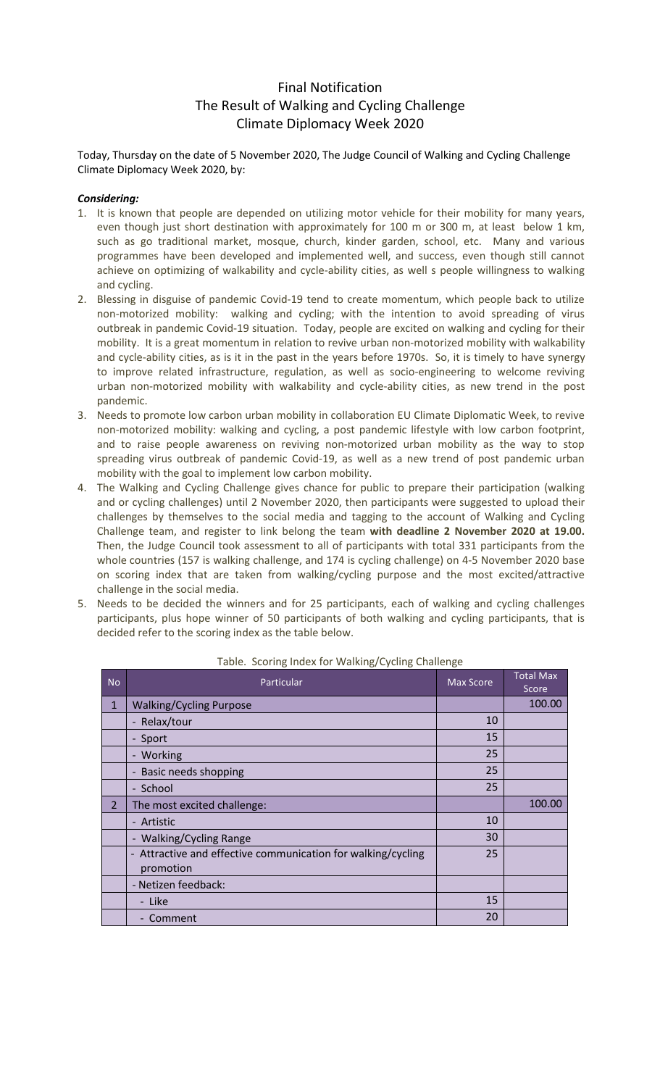# Final Notification The Result of Walking and Cycling Challenge Climate Diplomacy Week 2020

Today, Thursday on the date of 5 November 2020, The Judge Council of Walking and Cycling Challenge Climate Diplomacy Week 2020, by:

### *Considering:*

- 1. It is known that people are depended on utilizing motor vehicle for their mobility for many years, even though just short destination with approximately for 100 m or 300 m, at least below 1 km, such as go traditional market, mosque, church, kinder garden, school, etc. Many and various programmes have been developed and implemented well, and success, even though still cannot achieve on optimizing of walkability and cycle-ability cities, as well s people willingness to walking and cycling.
- 2. Blessing in disguise of pandemic Covid-19 tend to create momentum, which people back to utilize non-motorized mobility: walking and cycling; with the intention to avoid spreading of virus outbreak in pandemic Covid-19 situation. Today, people are excited on walking and cycling for their mobility. It is a great momentum in relation to revive urban non-motorized mobility with walkability and cycle-ability cities, as is it in the past in the years before 1970s. So, it is timely to have synergy to improve related infrastructure, regulation, as well as socio-engineering to welcome reviving urban non-motorized mobility with walkability and cycle-ability cities, as new trend in the post pandemic.
- 3. Needs to promote low carbon urban mobility in collaboration EU Climate Diplomatic Week, to revive non-motorized mobility: walking and cycling, a post pandemic lifestyle with low carbon footprint, and to raise people awareness on reviving non-motorized urban mobility as the way to stop spreading virus outbreak of pandemic Covid-19, as well as a new trend of post pandemic urban mobility with the goal to implement low carbon mobility.
- 4. The Walking and Cycling Challenge gives chance for public to prepare their participation (walking and or cycling challenges) until 2 November 2020, then participants were suggested to upload their challenges by themselves to the social media and tagging to the account of Walking and Cycling Challenge team, and register to link belong the team **with deadline 2 November 2020 at 19.00.** Then, the Judge Council took assessment to all of participants with total 331 participants from the whole countries (157 is walking challenge, and 174 is cycling challenge) on 4-5 November 2020 base on scoring index that are taken from walking/cycling purpose and the most excited/attractive challenge in the social media.
- 5. Needs to be decided the winners and for 25 participants, each of walking and cycling challenges participants, plus hope winner of 50 participants of both walking and cycling participants, that is decided refer to the scoring index as the table below.

| <b>No</b>      | Particular                                                                | <b>Max Score</b> | <b>Total Max</b><br>Score |
|----------------|---------------------------------------------------------------------------|------------------|---------------------------|
| $\mathbf{1}$   | <b>Walking/Cycling Purpose</b>                                            |                  | 100.00                    |
|                | - Relax/tour                                                              | 10               |                           |
|                | - Sport                                                                   | 15               |                           |
|                | - Working                                                                 | 25               |                           |
|                | - Basic needs shopping                                                    | 25               |                           |
|                | - School                                                                  | 25               |                           |
| $\overline{2}$ | The most excited challenge:                                               |                  | 100.00                    |
|                | - Artistic                                                                | 10               |                           |
|                | - Walking/Cycling Range                                                   | 30               |                           |
|                | - Attractive and effective communication for walking/cycling<br>promotion | 25               |                           |
|                | - Netizen feedback:                                                       |                  |                           |
|                | - Like                                                                    | 15               |                           |
|                | - Comment                                                                 | 20               |                           |

#### Table. Scoring Index for Walking/Cycling Challenge